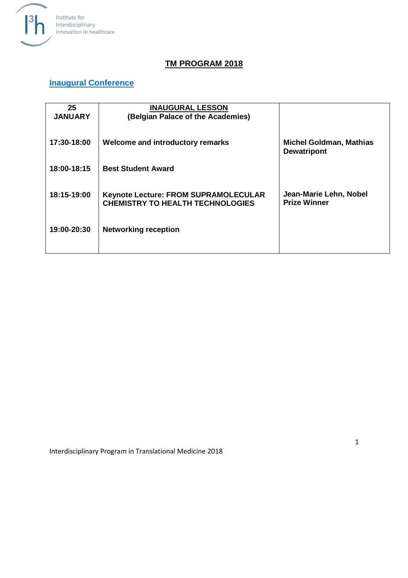

#### **TM PROGRAM 2018**

#### **Inaugural Conference**

| 25<br><b>JANUARY</b> | <b>INAUGURAL LESSON</b><br>(Belgian Palace of the Academies)                           |                                                      |
|----------------------|----------------------------------------------------------------------------------------|------------------------------------------------------|
| 17:30-18:00          | Welcome and introductory remarks                                                       | <b>Michel Goldman, Mathias</b><br><b>Dewatripont</b> |
| 18:00-18:15          | <b>Best Student Award</b>                                                              |                                                      |
| 18:15-19:00          | <b>Keynote Lecture: FROM SUPRAMOLECULAR</b><br><b>CHEMISTRY TO HEALTH TECHNOLOGIES</b> | Jean-Marie Lehn, Nobel<br><b>Prize Winner</b>        |
| 19:00-20:30          | <b>Networking reception</b>                                                            |                                                      |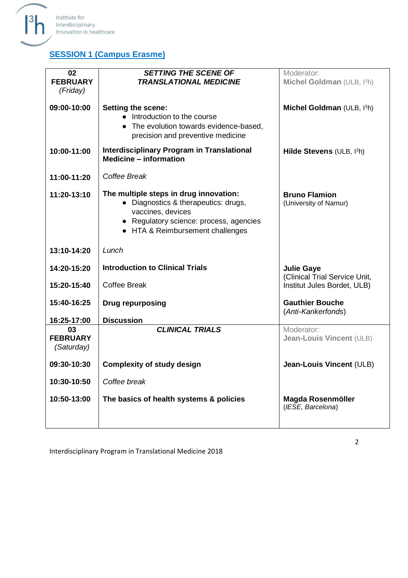

# **SESSION 1 (Campus Erasme)**

| 02<br><b>FEBRUARY</b><br>(Friday)   | <b>SETTING THE SCENE OF</b><br><b>TRANSLATIONAL MEDICINE</b>                                                                                                                       | Moderator:<br>Michel Goldman (ULB, I3h)                      |
|-------------------------------------|------------------------------------------------------------------------------------------------------------------------------------------------------------------------------------|--------------------------------------------------------------|
| 09:00-10:00                         | Setting the scene:<br>• Introduction to the course<br>• The evolution towards evidence-based,<br>precision and preventive medicine                                                 | Michel Goldman (ULB, I <sup>3</sup> h)                       |
| 10:00-11:00                         | <b>Interdisciplinary Program in Translational</b><br><b>Medicine - information</b>                                                                                                 | Hilde Stevens (ULB, I3h)                                     |
| 11:00-11:20                         | Coffee Break                                                                                                                                                                       |                                                              |
| 11:20-13:10                         | The multiple steps in drug innovation:<br>• Diagnostics & therapeutics: drugs,<br>vaccines, devices<br>• Regulatory science: process, agencies<br>• HTA & Reimbursement challenges | <b>Bruno Flamion</b><br>(University of Namur)                |
| 13:10-14:20                         | Lunch                                                                                                                                                                              |                                                              |
| 14:20-15:20                         | <b>Introduction to Clinical Trials</b>                                                                                                                                             | <b>Julie Gaye</b>                                            |
| 15:20-15:40                         | <b>Coffee Break</b>                                                                                                                                                                | (Clinical Trial Service Unit,<br>Institut Jules Bordet, ULB) |
| 15:40-16:25                         | <b>Drug repurposing</b>                                                                                                                                                            | <b>Gauthier Bouche</b><br>(Anti-Kankerfonds)                 |
| 16:25-17:00                         | <b>Discussion</b>                                                                                                                                                                  |                                                              |
| 03<br><b>FEBRUARY</b><br>(Saturday) | <b>CLINICAL TRIALS</b>                                                                                                                                                             | Moderator:<br><b>Jean-Louis Vincent (ULB)</b>                |
| 09:30-10:30                         | <b>Complexity of study design</b>                                                                                                                                                  | <b>Jean-Louis Vincent (ULB)</b>                              |
| 10:30-10:50                         | Coffee break                                                                                                                                                                       |                                                              |
| 10:50-13:00                         | The basics of health systems & policies                                                                                                                                            | Magda Rosenmöller<br>(IESE, Barcelona)                       |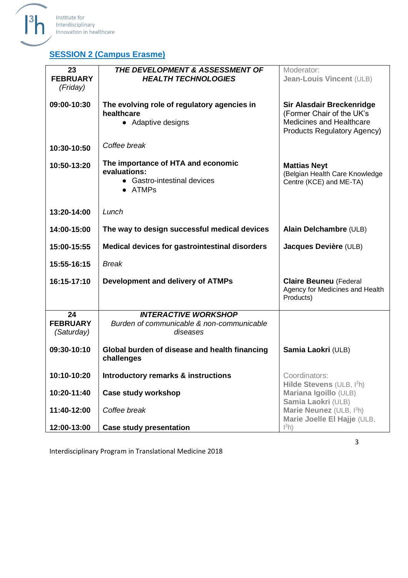

# **SESSION 2 (Campus Erasme)**

| 23<br><b>FEBRUARY</b><br>(Friday)   | THE DEVELOPMENT & ASSESSMENT OF<br><b>HEALTH TECHNOLOGIES</b>                                | Moderator:<br>Jean-Louis Vincent (ULB)                                                                                          |
|-------------------------------------|----------------------------------------------------------------------------------------------|---------------------------------------------------------------------------------------------------------------------------------|
| 09:00-10:30                         | The evolving role of regulatory agencies in<br>healthcare<br>• Adaptive designs              | Sir Alasdair Breckenridge<br>(Former Chair of the UK's<br><b>Medicines and Healthcare</b><br><b>Products Regulatory Agency)</b> |
| 10:30-10:50                         | Coffee break                                                                                 |                                                                                                                                 |
| 10:50-13:20                         | The importance of HTA and economic<br>evaluations:<br>• Gastro-intestinal devices<br>• ATMPs | <b>Mattias Neyt</b><br>(Belgian Health Care Knowledge<br>Centre (KCE) and ME-TA)                                                |
| 13:20-14:00                         | Lunch                                                                                        |                                                                                                                                 |
| 14:00-15:00                         | The way to design successful medical devices                                                 | Alain Delchambre (ULB)                                                                                                          |
| 15:00-15:55                         | Medical devices for gastrointestinal disorders                                               | Jacques Devière (ULB)                                                                                                           |
| 15:55-16:15                         | <b>Break</b>                                                                                 |                                                                                                                                 |
| 16:15-17:10                         | Development and delivery of ATMPs                                                            | <b>Claire Beuneu (Federal</b><br>Agency for Medicines and Health<br>Products)                                                   |
| 24<br><b>FEBRUARY</b><br>(Saturday) | <b>INTERACTIVE WORKSHOP</b><br>Burden of communicable & non-communicable<br>diseases         |                                                                                                                                 |
| 09:30-10:10                         | Global burden of disease and health financing<br>challenges                                  | Samia Laokri (ULB)                                                                                                              |
| 10:10-10:20                         | Introductory remarks & instructions                                                          | Coordinators:<br>Hilde Stevens (ULB, I3h)                                                                                       |
| 10:20-11:40                         | <b>Case study workshop</b>                                                                   | Mariana Igoillo (ULB)<br>Samia Laokri (ULB)                                                                                     |
| 11:40-12:00                         | Coffee break                                                                                 | Marie Neunez (ULB, I3h)<br>Marie Joelle El Hajje (ULB,                                                                          |
| 12:00-13:00                         | <b>Case study presentation</b>                                                               | $\vert^{3}h)$                                                                                                                   |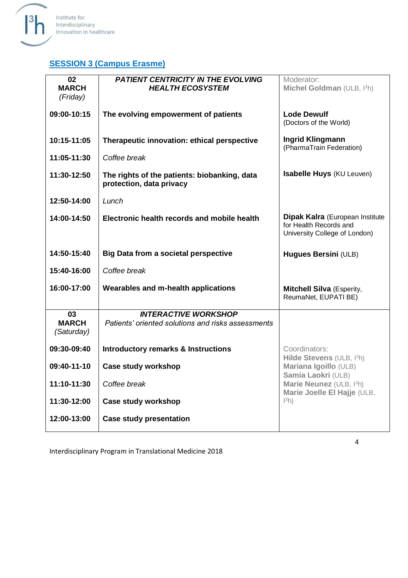

#### **SESSION 3 (Campus Erasme)**

| 02<br><b>MARCH</b><br>(Friday)   | <b>PATIENT CENTRICITY IN THE EVOLVING</b><br><b>HEALTH ECOSYSTEM</b>              | Moderator:<br>Michel Goldman (ULB, I3h)                                                    |
|----------------------------------|-----------------------------------------------------------------------------------|--------------------------------------------------------------------------------------------|
| 09:00-10:15                      | The evolving empowerment of patients                                              | <b>Lode Dewulf</b><br>(Doctors of the World)                                               |
| 10:15-11:05                      | Therapeutic innovation: ethical perspective                                       | <b>Ingrid Klingmann</b><br>(PharmaTrain Federation)                                        |
| 11:05-11:30                      | Coffee break                                                                      |                                                                                            |
| 11:30-12:50                      | The rights of the patients: biobanking, data<br>protection, data privacy          | Isabelle Huys (KU Leuven)                                                                  |
| 12:50-14:00                      | Lunch                                                                             |                                                                                            |
| 14:00-14:50                      | Electronic health records and mobile health                                       | Dipak Kalra (European Institute<br>for Health Records and<br>University College of London) |
| 14:50-15:40                      | <b>Big Data from a societal perspective</b>                                       | <b>Hugues Bersini (ULB)</b>                                                                |
| 15:40-16:00                      | Coffee break                                                                      |                                                                                            |
| 16:00-17:00                      | Wearables and m-health applications                                               | <b>Mitchell Silva</b> (Esperity,                                                           |
|                                  |                                                                                   | ReumaNet, EUPATI BE)                                                                       |
| 03<br><b>MARCH</b><br>(Saturday) | <b>INTERACTIVE WORKSHOP</b><br>Patients' oriented solutions and risks assessments |                                                                                            |
| 09:30-09:40                      | <b>Introductory remarks &amp; Instructions</b>                                    | Coordinators:                                                                              |
| 09:40-11-10                      | <b>Case study workshop</b>                                                        | Hilde Stevens (ULB, I3h)<br>Mariana Igoillo (ULB)                                          |
| 11:10-11:30                      | Coffee break                                                                      | Samia Laokri (ULB)<br>Marie Neunez (ULB, I3h)                                              |
| 11:30-12:00                      | <b>Case study workshop</b>                                                        | Marie Joelle El Hajje (ULB,<br>$\vert{}^{3}h\rangle$                                       |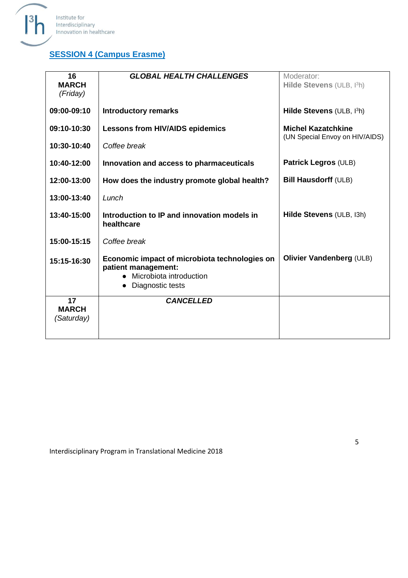

# **SESSION 4 (Campus Erasme)**

| 16<br><b>MARCH</b><br>(Friday)   | <b>GLOBAL HEALTH CHALLENGES</b>                                                                                     | Moderator:<br>Hilde Stevens (ULB, I3h)                      |
|----------------------------------|---------------------------------------------------------------------------------------------------------------------|-------------------------------------------------------------|
| 09:00-09:10                      | <b>Introductory remarks</b>                                                                                         | Hilde Stevens (ULB, I <sup>3</sup> h)                       |
| 09:10-10:30                      | <b>Lessons from HIV/AIDS epidemics</b>                                                                              | <b>Michel Kazatchkine</b><br>(UN Special Envoy on HIV/AIDS) |
| 10:30-10:40                      | Coffee break                                                                                                        |                                                             |
| 10:40-12:00                      | Innovation and access to pharmaceuticals                                                                            | <b>Patrick Legros (ULB)</b>                                 |
| 12:00-13:00                      | How does the industry promote global health?                                                                        | <b>Bill Hausdorff (ULB)</b>                                 |
| 13:00-13:40                      | Lunch                                                                                                               |                                                             |
| 13:40-15:00                      | Introduction to IP and innovation models in<br>healthcare                                                           | Hilde Stevens (ULB, I3h)                                    |
| 15:00-15:15                      | Coffee break                                                                                                        |                                                             |
| 15:15-16:30                      | Economic impact of microbiota technologies on<br>patient management:<br>Microbiota introduction<br>Diagnostic tests | <b>Olivier Vandenberg (ULB)</b>                             |
| 17<br><b>MARCH</b><br>(Saturday) | <b>CANCELLED</b>                                                                                                    |                                                             |